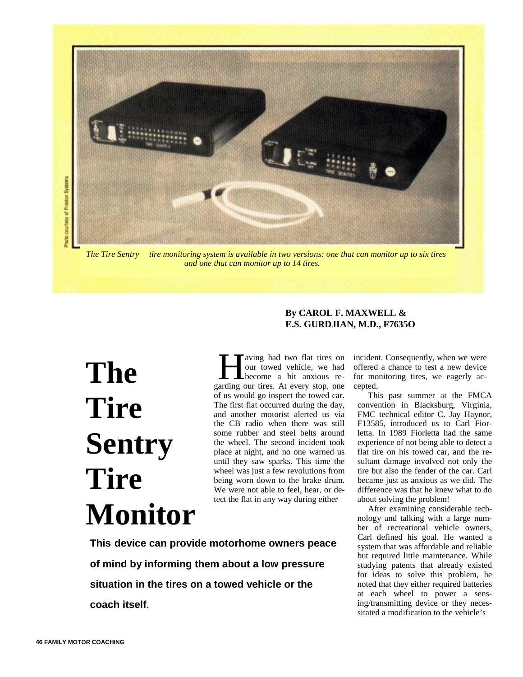

*The Tire Sentry<sup>™</sup> tire monitoring system is available in two versions: one that can monitor up to six tires and one that can monitor up to 14 tires.*

## **The Tire Sentry Tire Monitor**

aving had two flat tires on our towed vehicle, we had become a bit anxious re-**Following had two flat tires on**<br>our towed vehicle, we had<br>become a bit anxious re-<br>garding our tires. At every stop, one of us would go inspect the towed car. The first flat occurred during the day, and another motorist alerted us via the CB radio when there was still some rubber and steel belts around the wheel. The second incident took place at night, and no one warned us until they saw sparks. This time the wheel was just a few revolutions from being worn down to the brake drum. We were not able to feel, hear, or detect the flat in any way during either

**This device can provide motorhome owners peace of mind by informing them about a low pressure situation in the tires on a towed vehicle or the coach itself**.

## **E.S. GURDJIAN, M.D., F7635O**

**By CAROL F. MAXWELL &**

incident. Consequently, when we were offered a chance to test a new device for monitoring tires, we eagerly accepted.

This past summer at the FMCA convention in Blacksburg, Virginia, FMC technical editor C. Jay Haynor, F13585, introduced us to Carl Fiorletta. In 1989 Fiorletta had the same experience of not being able to detect a flat tire on his towed car, and the resultant damage involved not only the tire but also the fender of the car. Carl became just as anxious as we did. The difference was that he knew what to do about solving the problem!

After examining considerable technology and talking with a large number of recreational vehicle owners, Carl defined his goal. He wanted a system that was affordable and reliable but required little maintenance. While studying patents that already existed for ideas to solve this problem, he noted that they either required batteries at each wheel to power a sensing/transmitting device or they necessitated a modification to the vehicle's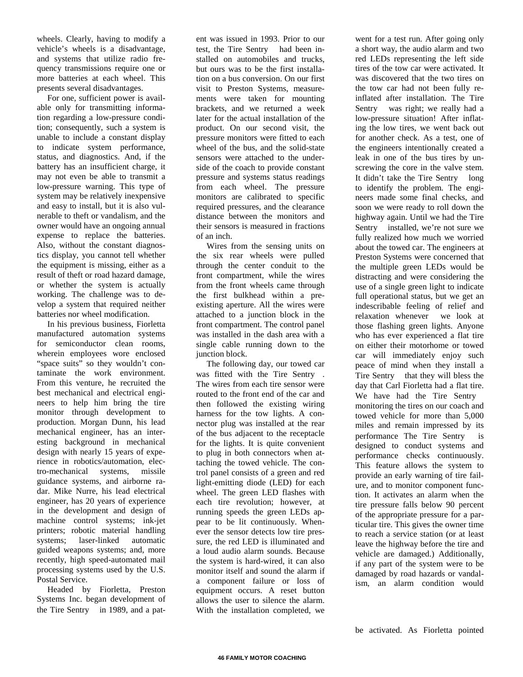wheels. Clearly, having to modify a vehicle's wheels is a disadvantage, and systems that utilize radio frequency transmissions require one or more batteries at each wheel. This presents several disadvantages.

For one, sufficient power is available only for transmitting information regarding a low-pressure condition; consequently, such a system is unable to include a constant display to indicate system performance, status, and diagnostics. And, if the battery has an insufficient charge, it may not even be able to transmit a low-pressure warning. This type of system may be relatively inexpensive and easy to install, but it is also vulnerable to theft or vandalism, and the owner would have an ongoing annual expense to replace the batteries. Also, without the constant diagnostics display, you cannot tell whether the equipment is missing, either as a result of theft or road hazard damage, or whether the system is actually working. The challenge was to develop a system that required neither batteries nor wheel modification.

In his previous business, Fiorletta manufactured automation systems for semiconductor clean rooms, wherein employees wore enclosed "space suits" so they wouldn't contaminate the work environment. From this venture, he recruited the best mechanical and electrical engineers to help him bring the tire monitor through development to production. Morgan Dunn, his lead mechanical engineer, has an interesting background in mechanical design with nearly 15 years of experience in robotics/automation, electro-mechanical systems, missile guidance systems, and airborne radar. Mike Nurre, his lead electrical engineer, has 20 years of experience in the development and design of machine control systems; ink-jet printers; robotic material handling systems; laser-linked automatic guided weapons systems; and, more recently, high speed-automated mail processing systems used by the U.S. Postal Service.

Headed by Fiorletta, Preston Systems Inc. began development of the Tire Sentry<sup> $TM$ </sup> in 1989, and a patent was issued in 1993. Prior to our test, the Tire Sentry<sup>TM</sup> had been installed on automobiles and trucks, but ours was to be the first installation on a bus conversion. On our first visit to Preston Systems, measurements were taken for mounting brackets, and we returned a week later for the actual installation of the product. On our second visit, the pressure monitors were fitted to each wheel of the bus, and the solid-state sensors were attached to the underside of the coach to provide constant pressure and systems status readings from each wheel. The pressure monitors are calibrated to specific required pressures, and the clearance distance between the monitors and their sensors is measured in fractions of an inch.

Wires from the sensing units on the six rear wheels were pulled through the center conduit to the front compartment, while the wires from the front wheels came through the first bulkhead within a preexisting aperture. All the wires were attached to a junction block in the front compartment. The control panel was installed in the dash area with a single cable running down to the junction block.

The following day, our towed car was fitted with the Tire Sentry<sup>TM</sup>. The wires from each tire sensor were routed to the front end of the car and then followed the existing wiring harness for the tow lights. A connector plug was installed at the rear of the bus adjacent to the receptacle for the lights. It is quite convenient to plug in both connectors when attaching the towed vehicle. The control panel consists of a green and red light-emitting diode (LED) for each wheel. The green LED flashes with each tire revolution; however, at running speeds the green LEDs appear to be lit continuously. Whenever the sensor detects low tire pressure, the red LED is illuminated and a loud audio alarm sounds. Because the system is hard-wired, it can also monitor itself and sound the alarm if a component failure or loss of equipment occurs. A reset button allows the user to silence the alarm. With the installation completed, we

went for a test run. After going only a short way, the audio alarm and two red LEDs representing the left side tires of the tow car were activated. It was discovered that the two tires on the tow car had not been fully reinflated after installation. The Tire Sentry<sup>TM</sup> was right; we really had a low-pressure situation! After inflating the low tires, we went back out for another check. As a test, one of the engineers intentionally created a leak in one of the bus tires by unscrewing the core in the valve stem. It didn't take the Tire Sentry<sup>TM</sup> long to identify the problem. The engineers made some final checks, and soon we were ready to roll down the highway again. Until we had the Tire Sentry<sup> $TM$ </sup> installed, we're not sure we fully realized how much we worried about the towed car. The engineers at Preston Systems were concerned that the multiple green LEDs would be distracting and were considering the use of a single green light to indicate full operational status, but we get an indescribable feeling of relief and relaxation whenever we look at those flashing green lights. Anyone who has ever experienced a flat tire on either their motorhome or towed car will immediately enjoy such peace of mind when they install a Tire Sentry<sup>TM</sup> that they will bless the day that Carl Fiorletta had a flat tire. We have had the Tire Sentry<sup>TM</sup> monitoring the tires on our coach and towed vehicle for more than 5,000 miles and remain impressed by its performance The Tire Sentry<sup>TM</sup> is designed to conduct systems and performance checks continuously. This feature allows the system to provide an early warning of tire failure, and to monitor component function. It activates an alarm when the tire pressure falls below 90 percent of the appropriate pressure for a particular tire. This gives the owner time to reach a service station (or at least leave the highway before the tire and vehicle are damaged.) Additionally, if any part of the system were to be damaged by road hazards or vandalism, an alarm condition would